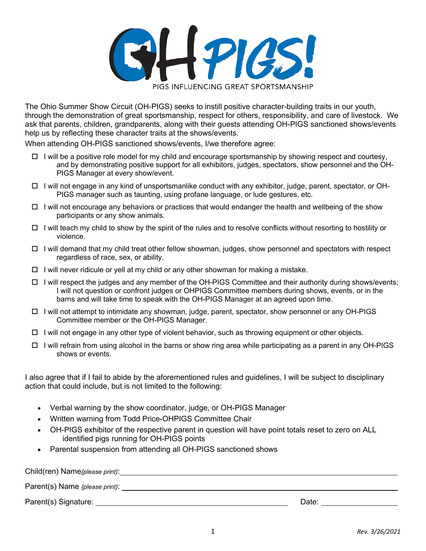

The Ohio Summer Show Circuit (OH-PIGS) seeks to instill positive character-building traits in our youth, through the demonstration of great sportsmanship, respect for others, responsibility, and care of livestock. We ask that parents, children, grandparents, along with their guests attending OH-PIGS sanctioned shows/events help us by reflecting these character traits at the shows/events.

When attending OH-PIGS sanctioned shows/events, I/we therefore agree:

- $\Box$  I will be a positive role model for my child and encourage sportsmanship by showing respect and courtesy, and by demonstrating positive support for all exhibitors, judges, spectators, show personnel and the OH-PIGS Manager at every show/event.
- $\Box$  I will not engage in any kind of unsportsmanlike conduct with any exhibitor, judge, parent, spectator, or OH-PIGS manager such as taunting, using profane language, or lude gestures, etc.
- $\Box$  I will not encourage any behaviors or practices that would endanger the health and wellbeing of the show participants or any show animals.
- $\Box$  I will teach my child to show by the spirit of the rules and to resolve conflicts without resorting to hostility or violence.
- $\Box$  I will demand that my child treat other fellow showman, judges, show personnel and spectators with respect regardless of race, sex, or ability.
- $\Box$  I will never ridicule or yell at my child or any other showman for making a mistake.
- $\Box$  I will respect the judges and any member of the OH-PIGS Committee and their authority during shows/events; I will not question or confront judges or OHPIGS Committee members during shows, events, or in the barns and will take time to speak with the OH-PIGS Manager at an agreed upon time.
- $\Box$  I will not attempt to intimidate any showman, judge, parent, spectator, show personnel or any OH-PIGS Committee member or the OH-PIGS Manager.
- $\Box$  I will not engage in any other type of violent behavior, such as throwing equipment or other objects.
- $\Box$  I will refrain from using alcohol in the barns or show ring area while participating as a parent in any OH-PIGS shows or events.

I also agree that if I fail to abide by the aforementioned rules and guidelines, I will be subject to disciplinary action that could include, but is not limited to the following:

- Verbal warning by the show coordinator, judge, or OH-PIGS Manager
- Written warning from Todd Price-OHPIGS Committee Chair
- OH-PIGS exhibitor of the respective parent in question will have point totals reset to zero on ALL identified pigs running for OH-PIGS points
- Parental suspension from attending all OH-PIGS sanctioned shows

| Child(ren) Name{please print}: |       |  |
|--------------------------------|-------|--|
| Parent(s) Name {please print}: |       |  |
| Parent(s) Signature:           | Date: |  |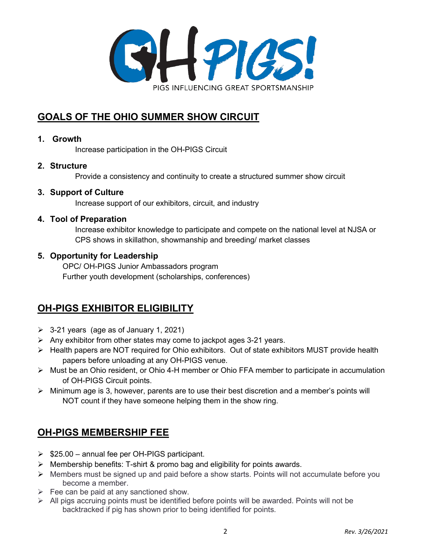

## **GOALS OF THE OHIO SUMMER SHOW CIRCUIT**

### **1. Growth**

Increase participation in the OH-PIGS Circuit

## **2. Structure**

Provide a consistency and continuity to create a structured summer show circuit

### **3. Support of Culture**

Increase support of our exhibitors, circuit, and industry

### **4. Tool of Preparation**

Increase exhibitor knowledge to participate and compete on the national level at NJSA or CPS shows in skillathon, showmanship and breeding/ market classes

### **5. Opportunity for Leadership**

OPC/ OH-PIGS Junior Ambassadors program Further youth development (scholarships, conferences)

## **OH-PIGS EXHIBITOR ELIGIBILITY**

- $\geq$  3-21 years (age as of January 1, 2021)
- $\triangleright$  Any exhibitor from other states may come to jackpot ages 3-21 years.
- $\triangleright$  Health papers are NOT required for Ohio exhibitors. Out of state exhibitors MUST provide health papers before unloading at any OH-PIGS venue.
- Must be an Ohio resident, or Ohio 4-H member or Ohio FFA member to participate in accumulation of OH-PIGS Circuit points.
- $\triangleright$  Minimum age is 3, however, parents are to use their best discretion and a member's points will NOT count if they have someone helping them in the show ring.

## **OH-PIGS MEMBERSHIP FEE**

- $\geq$  \$25.00 annual fee per OH-PIGS participant.
- $\triangleright$  Membership benefits: T-shirt & promo bag and eligibility for points awards.
- $\triangleright$  Members must be signed up and paid before a show starts. Points will not accumulate before you become a member.
- $\triangleright$  Fee can be paid at any sanctioned show.
- $\triangleright$  All pigs accruing points must be identified before points will be awarded. Points will not be backtracked if pig has shown prior to being identified for points.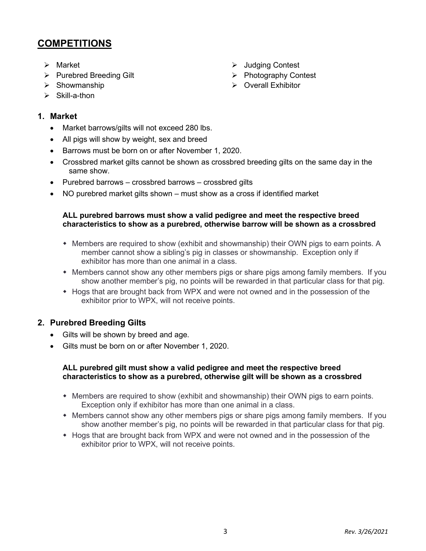## **COMPETITIONS**

- $\triangleright$  Market
- $\triangleright$  Purebred Breeding Gilt
- $\triangleright$  Showmanship
- $\triangleright$  Skill-a-thon

### **1. Market**

- Market barrows/gilts will not exceed 280 lbs.
- All pigs will show by weight, sex and breed
- Barrows must be born on or after November 1, 2020.
- Crossbred market gilts cannot be shown as crossbred breeding gilts on the same day in the same show.
- Purebred barrows crossbred barrows crossbred gilts
- NO purebred market gilts shown must show as a cross if identified market

#### **ALL purebred barrows must show a valid pedigree and meet the respective breed characteristics to show as a purebred, otherwise barrow will be shown as a crossbred**

- Members are required to show (exhibit and showmanship) their OWN pigs to earn points. A member cannot show a sibling's pig in classes or showmanship. Exception only if exhibitor has more than one animal in a class.
- Members cannot show any other members pigs or share pigs among family members. If you show another member's pig, no points will be rewarded in that particular class for that pig.
- Hogs that are brought back from WPX and were not owned and in the possession of the exhibitor prior to WPX, will not receive points.

### **2. Purebred Breeding Gilts**

- Gilts will be shown by breed and age.
- Gilts must be born on or after November 1, 2020.

#### **ALL purebred gilt must show a valid pedigree and meet the respective breed characteristics to show as a purebred, otherwise gilt will be shown as a crossbred**

- Members are required to show (exhibit and showmanship) their OWN pigs to earn points. Exception only if exhibitor has more than one animal in a class.
- Members cannot show any other members pigs or share pigs among family members. If you show another member's pig, no points will be rewarded in that particular class for that pig.
- Hogs that are brought back from WPX and were not owned and in the possession of the exhibitor prior to WPX, will not receive points.
- **▶** Judging Contest
- ▶ Photography Contest
- $\triangleright$  Overall Exhibitor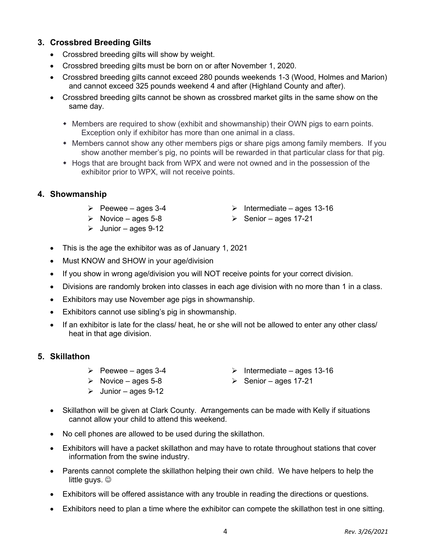## **3. Crossbred Breeding Gilts**

- Crossbred breeding gilts will show by weight.
- Crossbred breeding gilts must be born on or after November 1, 2020.
- Crossbred breeding gilts cannot exceed 280 pounds weekends 1-3 (Wood, Holmes and Marion) and cannot exceed 325 pounds weekend 4 and after (Highland County and after).
- Crossbred breeding gilts cannot be shown as crossbred market gilts in the same show on the same day.
	- Members are required to show (exhibit and showmanship) their OWN pigs to earn points. Exception only if exhibitor has more than one animal in a class.
	- Members cannot show any other members pigs or share pigs among family members. If you show another member's pig, no points will be rewarded in that particular class for that pig.
	- Hogs that are brought back from WPX and were not owned and in the possession of the exhibitor prior to WPX, will not receive points.

#### **4. Showmanship**

- $\triangleright$  Peewee ages 3-4
- $\triangleright$  Novice ages 5-8
- $\blacktriangleright$  Junior ages 9-12
- This is the age the exhibitor was as of January 1, 2021
- Must KNOW and SHOW in your age/division
- If you show in wrong age/division you will NOT receive points for your correct division.
- Divisions are randomly broken into classes in each age division with no more than 1 in a class.
- Exhibitors may use November age pigs in showmanship.
- Exhibitors cannot use sibling's pig in showmanship.
- If an exhibitor is late for the class/ heat, he or she will not be allowed to enter any other class/ heat in that age division.

#### **5. Skillathon**

- $\triangleright$  Peewee ages 3-4
- $\triangleright$  Intermediate ages 13-16
- $\triangleright$  Novice ages 5-8
- $\geq$  Junior ages 9-12
- $\triangleright$  Senior ages 17-21
- Skillathon will be given at Clark County. Arrangements can be made with Kelly if situations cannot allow your child to attend this weekend.
- No cell phones are allowed to be used during the skillathon.
- Exhibitors will have a packet skillathon and may have to rotate throughout stations that cover information from the swine industry.
- Parents cannot complete the skillathon helping their own child. We have helpers to help the little guys.  $\odot$
- Exhibitors will be offered assistance with any trouble in reading the directions or questions.
- Exhibitors need to plan a time where the exhibitor can compete the skillathon test in one sitting.
- $\triangleright$  Intermediate ages 13-16
- $\triangleright$  Senior ages 17-21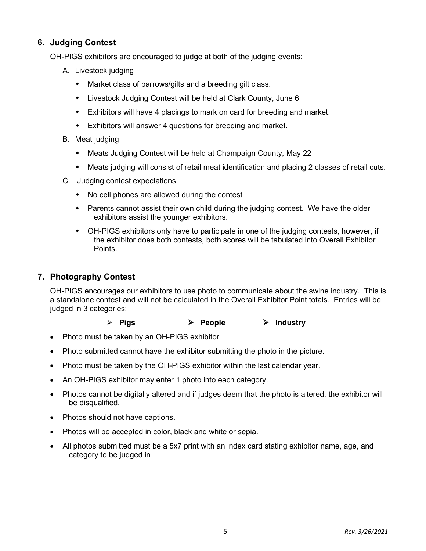## **6. Judging Contest**

OH-PIGS exhibitors are encouraged to judge at both of the judging events:

- A. Livestock judging
	- Market class of barrows/gilts and a breeding gilt class.
	- Livestock Judging Contest will be held at Clark County, June 6
	- Exhibitors will have 4 placings to mark on card for breeding and market.
	- Exhibitors will answer 4 questions for breeding and market.
- B. Meat judging
	- Meats Judging Contest will be held at Champaign County, May 22
	- Meats judging will consist of retail meat identification and placing 2 classes of retail cuts.
- C. Judging contest expectations
	- No cell phones are allowed during the contest
	- Parents cannot assist their own child during the judging contest. We have the older exhibitors assist the younger exhibitors.
	- OH-PIGS exhibitors only have to participate in one of the judging contests, however, if the exhibitor does both contests, both scores will be tabulated into Overall Exhibitor Points.

### **7. Photography Contest**

OH-PIGS encourages our exhibitors to use photo to communicate about the swine industry. This is a standalone contest and will not be calculated in the Overall Exhibitor Point totals. Entries will be judged in 3 categories:

- **Pigs People Industry**
- Photo must be taken by an OH-PIGS exhibitor
- Photo submitted cannot have the exhibitor submitting the photo in the picture.
- Photo must be taken by the OH-PIGS exhibitor within the last calendar year.
- An OH-PIGS exhibitor may enter 1 photo into each category.
- Photos cannot be digitally altered and if judges deem that the photo is altered, the exhibitor will be disqualified.
- Photos should not have captions.
- Photos will be accepted in color, black and white or sepia.
- All photos submitted must be a 5x7 print with an index card stating exhibitor name, age, and category to be judged in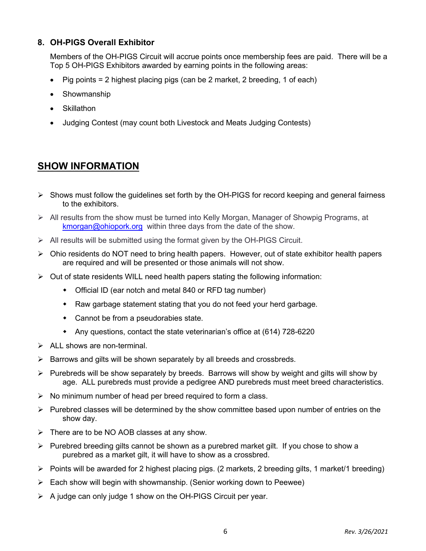## **8. OH-PIGS Overall Exhibitor**

Members of the OH-PIGS Circuit will accrue points once membership fees are paid. There will be a Top 5 OH-PIGS Exhibitors awarded by earning points in the following areas:

- Pig points = 2 highest placing pigs (can be 2 market, 2 breeding, 1 of each)
- **Showmanship**
- **Skillathon**
- Judging Contest (may count both Livestock and Meats Judging Contests)

## **SHOW INFORMATION**

- $\triangleright$  Shows must follow the guidelines set forth by the OH-PIGS for record keeping and general fairness to the exhibitors.
- All results from the show must be turned into Kelly Morgan, Manager of Showpig Programs, at [kmorgan@ohiopork.org](mailto:kmorgan@ohiopork.org) within three days from the date of the show.
- $\triangleright$  All results will be submitted using the format given by the OH-PIGS Circuit.
- $\triangleright$  Ohio residents do NOT need to bring health papers. However, out of state exhibitor health papers are required and will be presented or those animals will not show.
- $\triangleright$  Out of state residents WILL need health papers stating the following information:
	- Official ID (ear notch and metal 840 or RFD tag number)
	- Raw garbage statement stating that you do not feed your herd garbage.
	- Cannot be from a pseudorabies state.
	- Any questions, contact the state veterinarian's office at (614) 728-6220
- $\triangleright$  ALL shows are non-terminal.
- $\triangleright$  Barrows and gilts will be shown separately by all breeds and crossbreds.
- $\triangleright$  Purebreds will be show separately by breeds. Barrows will show by weight and gilts will show by age. ALL purebreds must provide a pedigree AND purebreds must meet breed characteristics.
- $\triangleright$  No minimum number of head per breed required to form a class.
- $\triangleright$  Purebred classes will be determined by the show committee based upon number of entries on the show day.
- $\triangleright$  There are to be NO AOB classes at any show.
- $\triangleright$  Purebred breeding gilts cannot be shown as a purebred market gilt. If you chose to show a purebred as a market gilt, it will have to show as a crossbred.
- $\triangleright$  Points will be awarded for 2 highest placing pigs. (2 markets, 2 breeding gilts, 1 market/1 breeding)
- $\triangleright$  Each show will begin with showmanship. (Senior working down to Peewee)
- $\triangleright$  A judge can only judge 1 show on the OH-PIGS Circuit per year.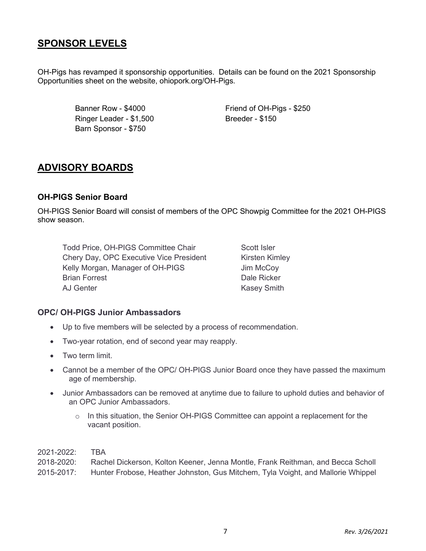## **SPONSOR LEVELS**

OH-Pigs has revamped it sponsorship opportunities. Details can be found on the 2021 Sponsorship Opportunities sheet on the website, ohiopork.org/OH-Pigs.

> Banner Row - \$4000 Ringer Leader - \$1,500 Barn Sponsor - \$750

Friend of OH-Pigs - \$250 Breeder - \$150

## **ADVISORY BOARDS**

## **OH-PIGS Senior Board**

OH-PIGS Senior Board will consist of members of the OPC Showpig Committee for the 2021 OH-PIGS show season.

Todd Price, OH-PIGS Committee Chair Chery Day, OPC Executive Vice President Kelly Morgan, Manager of OH-PIGS Brian Forrest AJ Genter

Scott Isler Kirsten Kimley Jim McCoy Dale Ricker Kasey Smith

### **OPC/ OH-PIGS Junior Ambassadors**

- Up to five members will be selected by a process of recommendation.
- Two-year rotation, end of second year may reapply.
- Two term limit.
- Cannot be a member of the OPC/ OH-PIGS Junior Board once they have passed the maximum age of membership.
- Junior Ambassadors can be removed at anytime due to failure to uphold duties and behavior of an OPC Junior Ambassadors.
	- o In this situation, the Senior OH-PIGS Committee can appoint a replacement for the vacant position.

2021-2022: TBA 2018-2020: Rachel Dickerson, Kolton Keener, Jenna Montle, Frank Reithman, and Becca Scholl 2015-2017: Hunter Frobose, Heather Johnston, Gus Mitchem, Tyla Voight, and Mallorie Whippel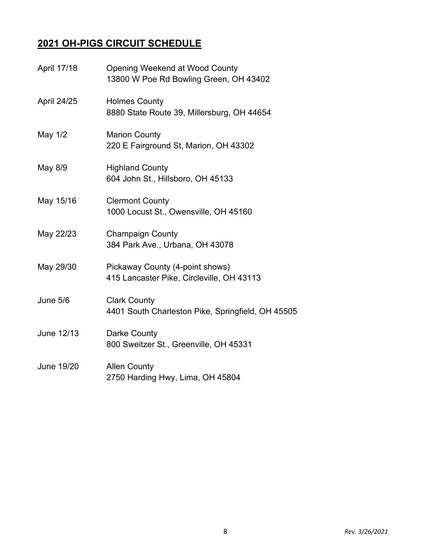# **2021 OH-PIGS CIRCUIT SCHEDULE**

| April 17/18 | <b>Opening Weekend at Wood County</b><br>13800 W Poe Rd Bowling Green, OH 43402 |
|-------------|---------------------------------------------------------------------------------|
| April 24/25 | <b>Holmes County</b><br>8880 State Route 39, Millersburg, OH 44654              |
| May 1/2     | <b>Marion County</b><br>220 E Fairground St, Marion, OH 43302                   |
| May 8/9     | <b>Highland County</b><br>604 John St., Hillsboro, OH 45133                     |
| May 15/16   | <b>Clermont County</b><br>1000 Locust St., Owensville, OH 45160                 |
| May 22/23   | <b>Champaign County</b><br>384 Park Ave., Urbana, OH 43078                      |
| May 29/30   | Pickaway County (4-point shows)<br>415 Lancaster Pike, Circleville, OH 43113    |
| June 5/6    | <b>Clark County</b><br>4401 South Charleston Pike, Springfield, OH 45505        |
| June 12/13  | Darke County<br>800 Sweitzer St., Greenville, OH 45331                          |
| June 19/20  | <b>Allen County</b><br>2750 Harding Hwy, Lima, OH 45804                         |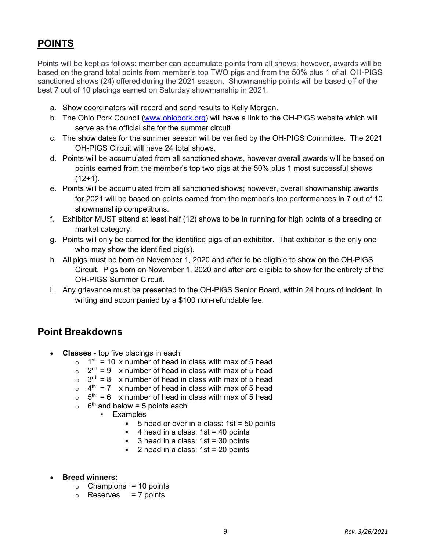## **POINTS**

Points will be kept as follows: member can accumulate points from all shows; however, awards will be based on the grand total points from member's top TWO pigs and from the 50% plus 1 of all OH-PIGS sanctioned shows (24) offered during the 2021 season. Showmanship points will be based off of the best 7 out of 10 placings earned on Saturday showmanship in 2021.

- a. Show coordinators will record and send results to Kelly Morgan.
- b. The Ohio Pork Council [\(www.ohiopork.org\)](http://www.ohiopork.org/) will have a link to the OH-PIGS website which will serve as the official site for the summer circuit
- c. The show dates for the summer season will be verified by the OH-PIGS Committee. The 2021 OH-PIGS Circuit will have 24 total shows.
- d. Points will be accumulated from all sanctioned shows, however overall awards will be based on points earned from the member's top two pigs at the 50% plus 1 most successful shows  $(12+1)$ .
- e. Points will be accumulated from all sanctioned shows; however, overall showmanship awards for 2021 will be based on points earned from the member's top performances in 7 out of 10 showmanship competitions.
- f. Exhibitor MUST attend at least half (12) shows to be in running for high points of a breeding or market category.
- g. Points will only be earned for the identified pigs of an exhibitor. That exhibitor is the only one who may show the identified pig(s).
- h. All pigs must be born on November 1, 2020 and after to be eligible to show on the OH-PIGS Circuit. Pigs born on November 1, 2020 and after are eligible to show for the entirety of the OH-PIGS Summer Circuit.
- i. Any grievance must be presented to the OH-PIGS Senior Board, within 24 hours of incident, in writing and accompanied by a \$100 non-refundable fee.

## **Point Breakdowns**

- **Classes** top five placings in each:
	- $\circ$  1<sup>st</sup> = 10 x number of head in class with max of 5 head
	- $\circ$  2<sup>nd</sup> = 9 x number of head in class with max of 5 head
	- $\circ$  3<sup>rd</sup> = 8 x number of head in class with max of 5 head
	- $\circ$  4<sup>th</sup> = 7 x number of head in class with max of 5 head
	- $\circ$  5<sup>th</sup> = 6 x number of head in class with max of 5 head
	- $\circ$  6<sup>th</sup> and below = 5 points each
		- **Examples** 
			- $\bullet$  5 head or over in a class: 1st = 50 points
			- $\blacksquare$  4 head in a class: 1st = 40 points
			- 3 head in a class: 1st = 30 points
			- $\blacksquare$  2 head in a class: 1st = 20 points
- **Breed winners:**
	- $\circ$  Champions = 10 points
	- $\circ$  Reserves = 7 points